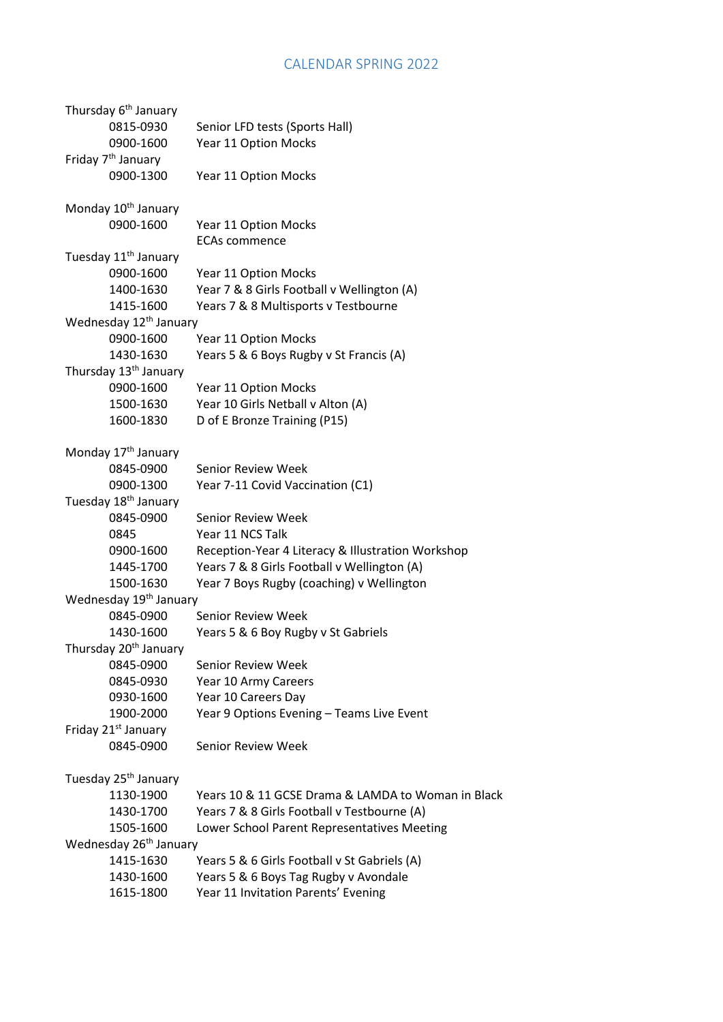## CALENDAR SPRING 2022

| Thursday 6 <sup>th</sup> January   |                                                    |
|------------------------------------|----------------------------------------------------|
| 0815-0930                          | Senior LFD tests (Sports Hall)                     |
| 0900-1600                          | Year 11 Option Mocks                               |
| Friday 7 <sup>th</sup> January     |                                                    |
| 0900-1300                          | Year 11 Option Mocks                               |
| Monday 10 <sup>th</sup> January    |                                                    |
| 0900-1600                          | Year 11 Option Mocks                               |
|                                    | <b>ECAs commence</b>                               |
| Tuesday 11 <sup>th</sup> January   |                                                    |
| 0900-1600                          | Year 11 Option Mocks                               |
| 1400-1630                          | Year 7 & 8 Girls Football v Wellington (A)         |
| 1415-1600                          | Years 7 & 8 Multisports v Testbourne               |
| Wednesday 12 <sup>th</sup> January |                                                    |
| 0900-1600                          | Year 11 Option Mocks                               |
| 1430-1630                          | Years 5 & 6 Boys Rugby v St Francis (A)            |
| Thursday 13 <sup>th</sup> January  |                                                    |
| 0900-1600                          | Year 11 Option Mocks                               |
| 1500-1630                          | Year 10 Girls Netball v Alton (A)                  |
| 1600-1830                          | D of E Bronze Training (P15)                       |
| Monday 17 <sup>th</sup> January    |                                                    |
| 0845-0900                          | <b>Senior Review Week</b>                          |
| 0900-1300                          | Year 7-11 Covid Vaccination (C1)                   |
| Tuesday 18 <sup>th</sup> January   |                                                    |
| 0845-0900                          | <b>Senior Review Week</b>                          |
| 0845                               | Year 11 NCS Talk                                   |
| 0900-1600                          | Reception-Year 4 Literacy & Illustration Workshop  |
| 1445-1700                          | Years 7 & 8 Girls Football v Wellington (A)        |
| 1500-1630                          | Year 7 Boys Rugby (coaching) v Wellington          |
| Wednesday 19 <sup>th</sup> January |                                                    |
| 0845-0900                          | Senior Review Week                                 |
| 1430-1600                          | Years 5 & 6 Boy Rugby v St Gabriels                |
| Thursday 20 <sup>th</sup> January  |                                                    |
| 0845-0900                          | <b>Senior Review Week</b>                          |
| 0845-0930                          | Year 10 Army Careers                               |
| 0930-1600                          | Year 10 Careers Day                                |
| 1900-2000                          | Year 9 Options Evening - Teams Live Event          |
| Friday 21 <sup>st</sup> January    |                                                    |
| 0845-0900                          | Senior Review Week                                 |
| Tuesday 25 <sup>th</sup> January   |                                                    |
| 1130-1900                          | Years 10 & 11 GCSE Drama & LAMDA to Woman in Black |
| 1430-1700                          | Years 7 & 8 Girls Football v Testbourne (A)        |
| 1505-1600                          | Lower School Parent Representatives Meeting        |
| Wednesday 26 <sup>th</sup> January |                                                    |
| 1415-1630                          | Years 5 & 6 Girls Football v St Gabriels (A)       |
| 1430-1600                          | Years 5 & 6 Boys Tag Rugby v Avondale              |
| 1615-1800                          | Year 11 Invitation Parents' Evening                |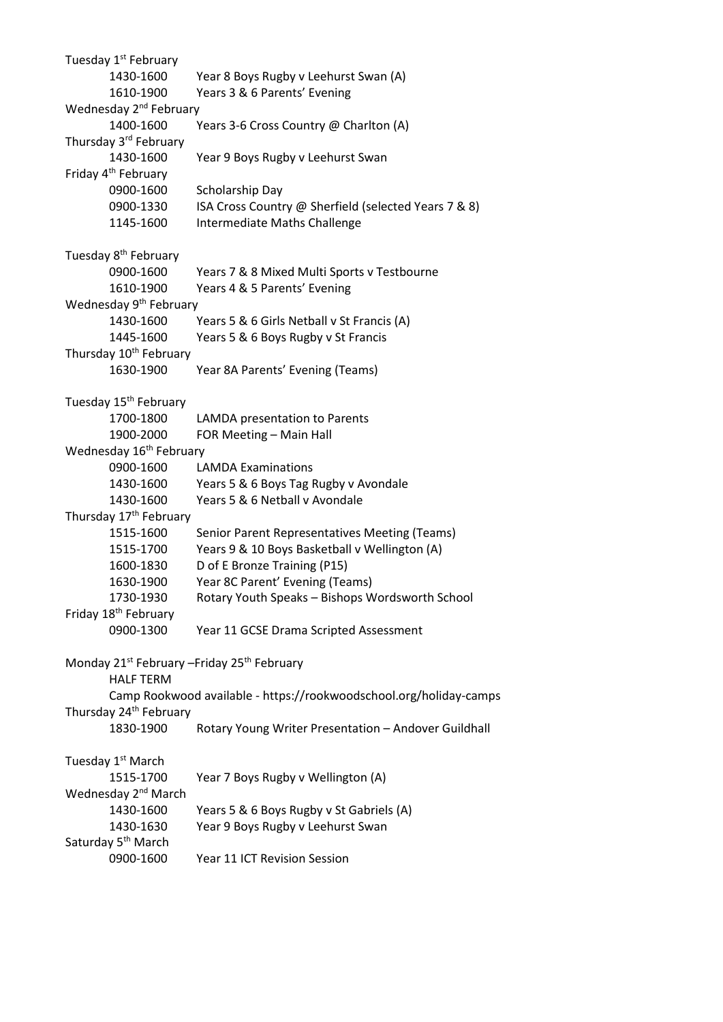Tuesday 1<sup>st</sup> February 1430-1600 Year 8 Boys Rugby v Leehurst Swan (A) 1610-1900 Years 3 & 6 Parents' Evening Wednesday 2<sup>nd</sup> February 1400-1600 Years 3-6 Cross Country @ Charlton (A) Thursday 3rd February 1430-1600 Year 9 Boys Rugby v Leehurst Swan Friday 4<sup>th</sup> February 0900-1600 Scholarship Day 0900-1330 ISA Cross Country @ Sherfield (selected Years 7 & 8) 1145-1600 Intermediate Maths Challenge Tuesday 8<sup>th</sup> February 0900-1600 Years 7 & 8 Mixed Multi Sports v Testbourne 1610-1900 Years 4 & 5 Parents' Evening Wednesday 9<sup>th</sup> February 1430-1600 Years 5 & 6 Girls Netball v St Francis (A) 1445-1600 Years 5 & 6 Boys Rugby v St Francis Thursday 10<sup>th</sup> February 1630-1900 Year 8A Parents' Evening (Teams) Tuesday 15<sup>th</sup> February 1700-1800 LAMDA presentation to Parents 1900-2000 FOR Meeting – Main Hall Wednesday 16<sup>th</sup> February 0900-1600 LAMDA Examinations 1430-1600 Years 5 & 6 Boys Tag Rugby v Avondale 1430-1600 Years 5 & 6 Netball v Avondale Thursday 17<sup>th</sup> February 1515-1600 Senior Parent Representatives Meeting (Teams) 1515-1700 Years 9 & 10 Boys Basketball v Wellington (A) 1600-1830 D of E Bronze Training (P15) 1630-1900 Year 8C Parent' Evening (Teams) 1730-1930 Rotary Youth Speaks – Bishops Wordsworth School Friday 18<sup>th</sup> February 0900-1300 Year 11 GCSE Drama Scripted Assessment Monday 21<sup>st</sup> February – Friday 25<sup>th</sup> February HALF TERM Camp Rookwood available - https://rookwoodschool.org/holiday-camps Thursday 24<sup>th</sup> February 1830-1900 Rotary Young Writer Presentation – Andover Guildhall Tuesday 1<sup>st</sup> March 1515-1700 Year 7 Boys Rugby v Wellington (A) Wednesday 2<sup>nd</sup> March 1430-1600 Years 5 & 6 Boys Rugby v St Gabriels (A) 1430-1630 Year 9 Boys Rugby v Leehurst Swan Saturday 5<sup>th</sup> March 0900-1600 Year 11 ICT Revision Session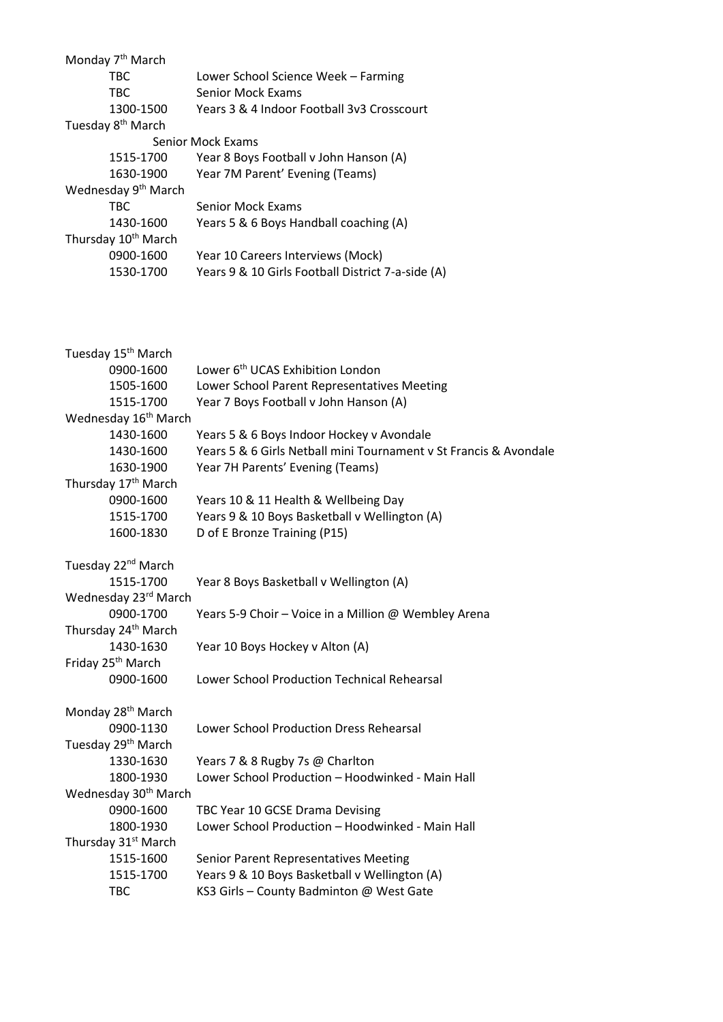| Monday 7 <sup>th</sup> March     |                                                                   |
|----------------------------------|-------------------------------------------------------------------|
| <b>TBC</b>                       | Lower School Science Week - Farming                               |
| <b>TBC</b>                       | <b>Senior Mock Exams</b>                                          |
| 1300-1500                        | Years 3 & 4 Indoor Football 3v3 Crosscourt                        |
| Tuesday 8 <sup>th</sup> March    |                                                                   |
|                                  | <b>Senior Mock Exams</b>                                          |
| 1515-1700                        | Year 8 Boys Football v John Hanson (A)                            |
| 1630-1900                        | Year 7M Parent' Evening (Teams)                                   |
| Wednesday 9 <sup>th</sup> March  |                                                                   |
| <b>TBC</b>                       | <b>Senior Mock Exams</b>                                          |
| 1430-1600                        | Years 5 & 6 Boys Handball coaching (A)                            |
| Thursday 10 <sup>th</sup> March  |                                                                   |
| 0900-1600                        | Year 10 Careers Interviews (Mock)                                 |
| 1530-1700                        | Years 9 & 10 Girls Football District 7-a-side (A)                 |
|                                  |                                                                   |
| Tuesday 15 <sup>th</sup> March   |                                                                   |
| 0900-1600                        | Lower 6 <sup>th</sup> UCAS Exhibition London                      |
| 1505-1600                        | Lower School Parent Representatives Meeting                       |
| 1515-1700                        | Year 7 Boys Football v John Hanson (A)                            |
| Wednesday 16 <sup>th</sup> March |                                                                   |
| 1430-1600                        | Years 5 & 6 Boys Indoor Hockey v Avondale                         |
| 1430-1600                        | Years 5 & 6 Girls Netball mini Tournament v St Francis & Avondale |
| 1630-1900                        | Year 7H Parents' Evening (Teams)                                  |
| Thursday 17 <sup>th</sup> March  |                                                                   |
| 0900-1600                        | Years 10 & 11 Health & Wellbeing Day                              |
| 1515-1700                        | Years 9 & 10 Boys Basketball v Wellington (A)                     |
| 1600-1830                        | D of E Bronze Training (P15)                                      |
| Tuesday 22 <sup>nd</sup> March   |                                                                   |
| 1515-1700                        | Year 8 Boys Basketball v Wellington (A)                           |
| Wednesday 23rd March             |                                                                   |
| 0900-1700                        | Years 5-9 Choir - Voice in a Million @ Wembley Arena              |
| Thursday 24 <sup>th</sup> March  |                                                                   |
| 1430-1630                        | Year 10 Boys Hockey v Alton (A)                                   |
| Friday 25 <sup>th</sup> March    |                                                                   |
| 0900-1600                        | Lower School Production Technical Rehearsal                       |
|                                  |                                                                   |
| Monday 28 <sup>th</sup> March    |                                                                   |
| 0900-1130                        | Lower School Production Dress Rehearsal                           |
| Tuesday 29 <sup>th</sup> March   |                                                                   |
| 1330-1630                        | Years 7 & 8 Rugby 7s @ Charlton                                   |
| 1800-1930                        | Lower School Production - Hoodwinked - Main Hall                  |
| Wednesday 30 <sup>th</sup> March |                                                                   |
| 0900-1600                        | TBC Year 10 GCSE Drama Devising                                   |
| 1800-1930                        | Lower School Production - Hoodwinked - Main Hall                  |
| Thursday 31 <sup>st</sup> March  |                                                                   |
| 1515-1600                        | Senior Parent Representatives Meeting                             |
| 1515-1700                        | Years 9 & 10 Boys Basketball v Wellington (A)                     |
| <b>TBC</b>                       | KS3 Girls - County Badminton @ West Gate                          |